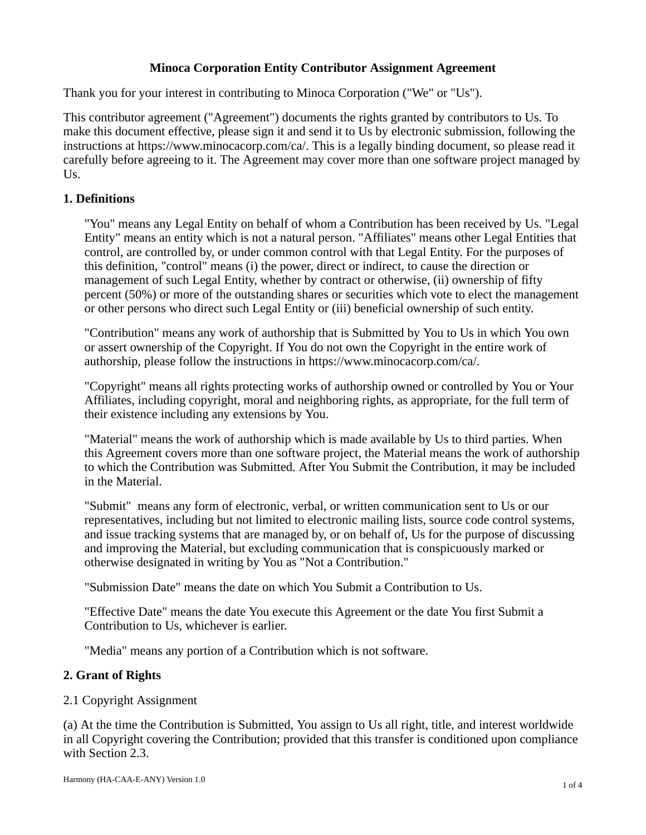# **Minoca Corporation Entity Contributor Assignment Agreement**

Thank you for your interest in contributing to Minoca Corporation ("We" or "Us").

This contributor agreement ("Agreement") documents the rights granted by contributors to Us. To make this document effective, please sign it and send it to Us by electronic submission, following the instructions at https://www.minocacorp.com/ca/. This is a legally binding document, so please read it carefully before agreeing to it. The Agreement may cover more than one software project managed by Us.

# **1. Definitions**

"You" means any Legal Entity on behalf of whom a Contribution has been received by Us. "Legal Entity" means an entity which is not a natural person. "Affiliates" means other Legal Entities that control, are controlled by, or under common control with that Legal Entity. For the purposes of this definition, "control" means (i) the power, direct or indirect, to cause the direction or management of such Legal Entity, whether by contract or otherwise, (ii) ownership of fifty percent (50%) or more of the outstanding shares or securities which vote to elect the management or other persons who direct such Legal Entity or (iii) beneficial ownership of such entity.

"Contribution" means any work of authorship that is Submitted by You to Us in which You own or assert ownership of the Copyright. If You do not own the Copyright in the entire work of authorship, please follow the instructions in https://www.minocacorp.com/ca/.

"Copyright" means all rights protecting works of authorship owned or controlled by You or Your Affiliates, including copyright, moral and neighboring rights, as appropriate, for the full term of their existence including any extensions by You.

"Material" means the work of authorship which is made available by Us to third parties. When this Agreement covers more than one software project, the Material means the work of authorship to which the Contribution was Submitted. After You Submit the Contribution, it may be included in the Material.

"Submit" means any form of electronic, verbal, or written communication sent to Us or our representatives, including but not limited to electronic mailing lists, source code control systems, and issue tracking systems that are managed by, or on behalf of, Us for the purpose of discussing and improving the Material, but excluding communication that is conspicuously marked or otherwise designated in writing by You as "Not a Contribution."

"Submission Date" means the date on which You Submit a Contribution to Us.

"Effective Date" means the date You execute this Agreement or the date You first Submit a Contribution to Us, whichever is earlier.

"Media" means any portion of a Contribution which is not software.

### **2. Grant of Rights**

### 2.1 Copyright Assignment

(a) At the time the Contribution is Submitted, You assign to Us all right, title, and interest worldwide in all Copyright covering the Contribution; provided that this transfer is conditioned upon compliance with Section 2.3.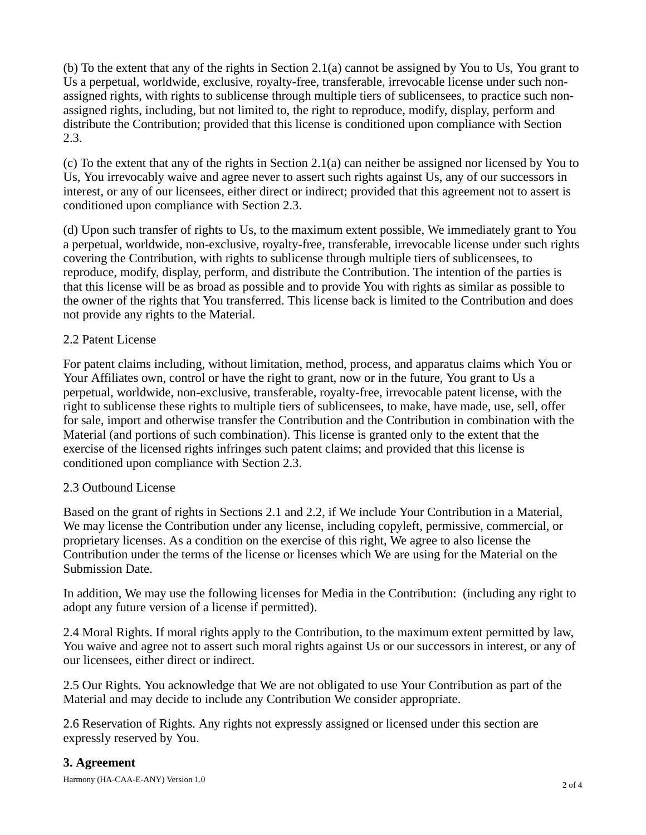(b) To the extent that any of the rights in Section 2.1(a) cannot be assigned by You to Us, You grant to Us a perpetual, worldwide, exclusive, royalty-free, transferable, irrevocable license under such nonassigned rights, with rights to sublicense through multiple tiers of sublicensees, to practice such nonassigned rights, including, but not limited to, the right to reproduce, modify, display, perform and distribute the Contribution; provided that this license is conditioned upon compliance with Section 2.3.

(c) To the extent that any of the rights in Section 2.1(a) can neither be assigned nor licensed by You to Us, You irrevocably waive and agree never to assert such rights against Us, any of our successors in interest, or any of our licensees, either direct or indirect; provided that this agreement not to assert is conditioned upon compliance with Section 2.3.

(d) Upon such transfer of rights to Us, to the maximum extent possible, We immediately grant to You a perpetual, worldwide, non-exclusive, royalty-free, transferable, irrevocable license under such rights covering the Contribution, with rights to sublicense through multiple tiers of sublicensees, to reproduce, modify, display, perform, and distribute the Contribution. The intention of the parties is that this license will be as broad as possible and to provide You with rights as similar as possible to the owner of the rights that You transferred. This license back is limited to the Contribution and does not provide any rights to the Material.

# 2.2 Patent License

For patent claims including, without limitation, method, process, and apparatus claims which You or Your Affiliates own, control or have the right to grant, now or in the future, You grant to Us a perpetual, worldwide, non-exclusive, transferable, royalty-free, irrevocable patent license, with the right to sublicense these rights to multiple tiers of sublicensees, to make, have made, use, sell, offer for sale, import and otherwise transfer the Contribution and the Contribution in combination with the Material (and portions of such combination). This license is granted only to the extent that the exercise of the licensed rights infringes such patent claims; and provided that this license is conditioned upon compliance with Section 2.3.

### 2.3 Outbound License

Based on the grant of rights in Sections 2.1 and 2.2, if We include Your Contribution in a Material, We may license the Contribution under any license, including copyleft, permissive, commercial, or proprietary licenses. As a condition on the exercise of this right, We agree to also license the Contribution under the terms of the license or licenses which We are using for the Material on the Submission Date.

In addition, We may use the following licenses for Media in the Contribution: (including any right to adopt any future version of a license if permitted).

2.4 Moral Rights. If moral rights apply to the Contribution, to the maximum extent permitted by law, You waive and agree not to assert such moral rights against Us or our successors in interest, or any of our licensees, either direct or indirect.

2.5 Our Rights. You acknowledge that We are not obligated to use Your Contribution as part of the Material and may decide to include any Contribution We consider appropriate.

2.6 Reservation of Rights. Any rights not expressly assigned or licensed under this section are expressly reserved by You.

# **3. Agreement**

Harmony (HA-CAA-E-ANY) Version 1.0 2 of 4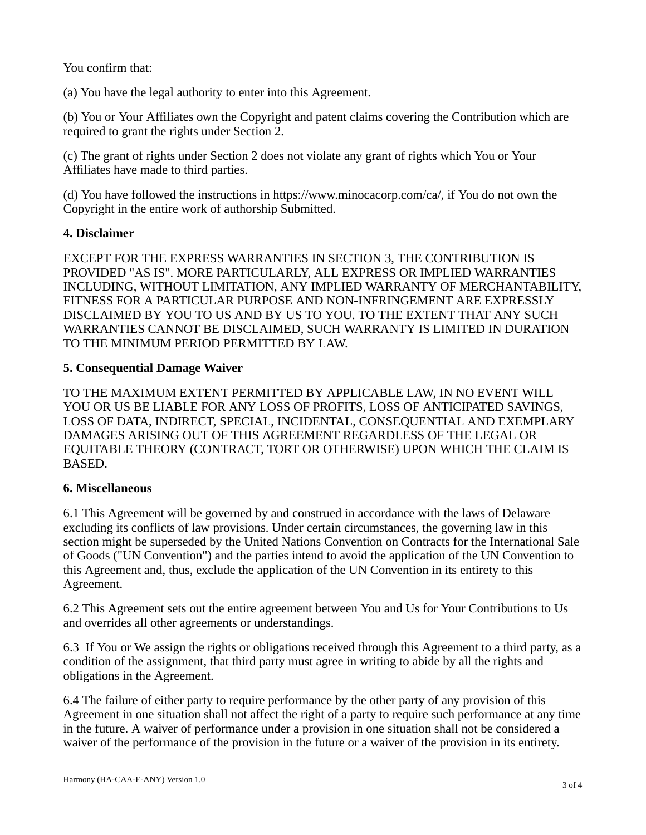You confirm that:

(a) You have the legal authority to enter into this Agreement.

(b) You or Your Affiliates own the Copyright and patent claims covering the Contribution which are required to grant the rights under Section 2.

(c) The grant of rights under Section 2 does not violate any grant of rights which You or Your Affiliates have made to third parties.

(d) You have followed the instructions in https://www.minocacorp.com/ca/, if You do not own the Copyright in the entire work of authorship Submitted.

# **4. Disclaimer**

EXCEPT FOR THE EXPRESS WARRANTIES IN SECTION 3, THE CONTRIBUTION IS PROVIDED "AS IS". MORE PARTICULARLY, ALL EXPRESS OR IMPLIED WARRANTIES INCLUDING, WITHOUT LIMITATION, ANY IMPLIED WARRANTY OF MERCHANTABILITY, FITNESS FOR A PARTICULAR PURPOSE AND NON-INFRINGEMENT ARE EXPRESSLY DISCLAIMED BY YOU TO US AND BY US TO YOU. TO THE EXTENT THAT ANY SUCH WARRANTIES CANNOT BE DISCLAIMED, SUCH WARRANTY IS LIMITED IN DURATION TO THE MINIMUM PERIOD PERMITTED BY LAW.

# **5. Consequential Damage Waiver**

TO THE MAXIMUM EXTENT PERMITTED BY APPLICABLE LAW, IN NO EVENT WILL YOU OR US BE LIABLE FOR ANY LOSS OF PROFITS, LOSS OF ANTICIPATED SAVINGS, LOSS OF DATA, INDIRECT, SPECIAL, INCIDENTAL, CONSEQUENTIAL AND EXEMPLARY DAMAGES ARISING OUT OF THIS AGREEMENT REGARDLESS OF THE LEGAL OR EQUITABLE THEORY (CONTRACT, TORT OR OTHERWISE) UPON WHICH THE CLAIM IS BASED.

### **6. Miscellaneous**

6.1 This Agreement will be governed by and construed in accordance with the laws of Delaware excluding its conflicts of law provisions. Under certain circumstances, the governing law in this section might be superseded by the United Nations Convention on Contracts for the International Sale of Goods ("UN Convention") and the parties intend to avoid the application of the UN Convention to this Agreement and, thus, exclude the application of the UN Convention in its entirety to this Agreement.

6.2 This Agreement sets out the entire agreement between You and Us for Your Contributions to Us and overrides all other agreements or understandings.

6.3 If You or We assign the rights or obligations received through this Agreement to a third party, as a condition of the assignment, that third party must agree in writing to abide by all the rights and obligations in the Agreement.

6.4 The failure of either party to require performance by the other party of any provision of this Agreement in one situation shall not affect the right of a party to require such performance at any time in the future. A waiver of performance under a provision in one situation shall not be considered a waiver of the performance of the provision in the future or a waiver of the provision in its entirety.